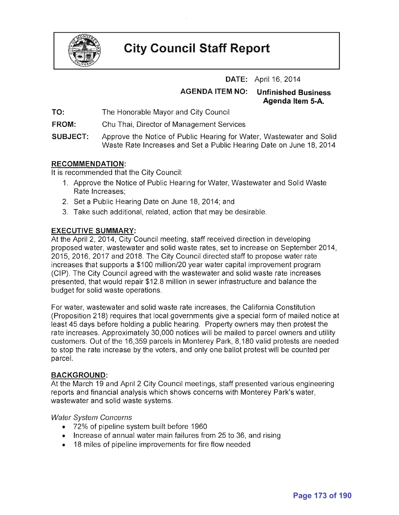

# **City Council Staff Report**

**DATE:** April 16, 2014

**AGENDA ITEM NO: Unfinished Business** 

**Agenda Item 5·A.** 

- **TO:**  The Honorable Mayor and City Council
- **FROM:**  Chu Thai, Director of Management Services
- **SUBJECT:**  Approve the Notice of Public Hearing for Water, Wastewater and Solid Waste Rate Increases and Set a Public Hearing Date on June 18, 2014

## **RECOMMENDATION:**

It is recommended that the City Council:

- 1. Approve the Notice of Public Hearing for Water, Wastewater and Solid Waste Rate Increases;
- 2. Set a Public Hearing Date on June 18,2014; and
- 3. Take such additional, related, action that may be desirable.

## **EXECUTIVE SUMMARY:**

At the April 2, 2014, City Council meeting, staff received direction in developing proposed water, wastewater and solid waste rates, set to increase on September 2014, 2015, 2016, 2017 and 2018. The City Council directed staff to propose water rate increases that supports a \$100 million/20 year water capital improvement program (CIP). The City Council agreed with the wastewater and solid waste rate increases presented, that would repair \$12.8 million in sewer infrastructure and balance the budget for solid waste operations.

For water, wastewater and solid waste rate increases, the California Constitution (Proposition 218) requires that local governments give a special form of mailed notice at least 45 days before holding a public hearing. Property owners may then protest the rate increases. Approximately 30,000 notices will be mailed to parcel owners and utility customers. Out of the 16,359 parcels in Monterey Park, 8,180 valid protests are needed to stop the rate increase by the voters, and only one ballot protest will be counted per parcel.

### **BACKGROUND:**

At the March 19 and April 2 City Council meetings, staff presented various engineering reports and financial analysis which shows concerns with Monterey Park's water, wastewater and solid waste systems.

### Water System Concerns

- 72% of pipeline system built before 1960
- Increase of annual water main failures from 25 to 36, and rising
- 18 miles of pipeline improvements for fire flow needed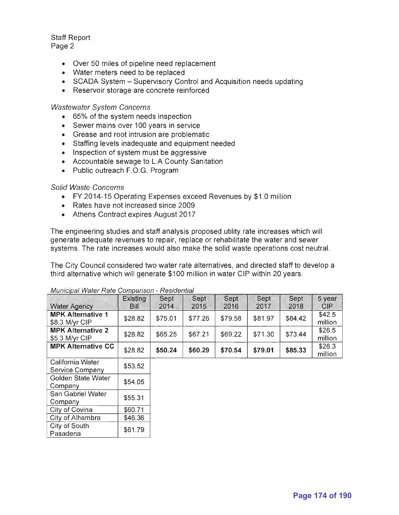Staff Report Page 2

- Over 50 miles of pipeline need replacement
- Water meters need to be replaced
- SCADA System Supervisory Control and Acquisition needs updating
- Reservoir storage are concrete reinforced

Wastewater System Concerns

- 65% of the system needs inspection
- Sewer mains over 100 years in service
- Grease and root intrusion are problematic
- Staffing levels inadequate and equipment needed
- Inspection of system must be aggressive
- Accountable sewage to L.A County Sanitation
- Public outreach F.O.G. Program

### Solid Waste Concerns

- FY 2014-15 Operating Expenses exceed Revenues by \$1.0 million
- Rates have not increased since 2009
- Athens Contract expires August 2017

The engineering studies and staff analysis proposed utility rate increases which will generate adequate revenues to repair, replace or rehabilitate the water and sewer systems. The rate increases would also make the solid waste operations cost neutral.

The City Council considered two water rate alternatives, and directed staff to develop a third alternative which will generate \$100 million in water CIP within 20 years.

|                           | Existing | Sept    | Sept    | Sept    | Sept    | Sept    | 5 year  |
|---------------------------|----------|---------|---------|---------|---------|---------|---------|
| <b>Water Agency</b>       | Bill     | 2014    | 2015    | 2016    | 2017    | 2018    | CIP     |
| <b>MPK Alternative 1</b>  | \$28.82  | \$75.01 | \$77.26 | \$79.58 | \$81.97 | \$84.42 | \$42.5  |
| \$8.3 M/yr CIP            |          |         |         |         |         |         | million |
| <b>MPK Alternative 2</b>  | \$28.82  | \$65.25 | \$67.21 | \$69.22 | \$71.30 | \$73.44 | \$26.5  |
| \$5.3 M/yr CIP            |          |         |         |         |         |         | million |
| <b>MPK Alternative CC</b> | \$28.82  | \$50.24 | \$60.29 | \$70.54 | \$79.01 | \$85.33 | \$26.3  |
|                           |          |         |         |         |         |         | million |
| California Water          |          |         |         |         |         |         |         |
| Service Company           | \$53.52  |         |         |         |         |         |         |
| Golden State Water        |          |         |         |         |         |         |         |
| Company                   | \$54.05  |         |         |         |         |         |         |
| San Gabriel Water         |          |         |         |         |         |         |         |
| Company                   | \$55.31  |         |         |         |         |         |         |
| City of Covina            | \$60.71  |         |         |         |         |         |         |
| City of Alhambra          | \$46.36  |         |         |         |         |         |         |
| City of South             | \$61.79  |         |         |         |         |         |         |
| Pasadena                  |          |         |         |         |         |         |         |

#### Municipal Water Rate Comparison - Residential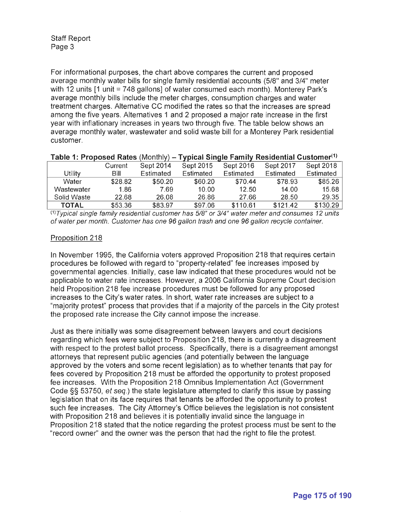For informational purposes, the chart above compares the current and proposed average monthly water bills for single family residential accounts (5/8" and 3/4" meter with 12 units  $11$  unit = 748 gallons] of water consumed each month). Monterey Park's average monthly bills include the meter charges, consumption charges and water treatment charges. Alternative CC modified the rates so that the increases are spread among the five years. Alternatives 1 and 2 proposed a major rate increase in the first year with inflationary increases in years two through five. The table below shows an average monthly water, wastewater and solid waste bill for a Monterey Park residential customer.

|              | Current | Sept 2014 | Sept 2015 | Sept 2016 | <b>Sept 2017</b> | Sept 2018 |
|--------------|---------|-----------|-----------|-----------|------------------|-----------|
| Utility      | Bill    | Estimated | Estimated | Estimated | Estimated        | Estimated |
| Water        | \$28.82 | \$50.20   | \$60.20   | \$70.44   | \$78.93          | \$85.26   |
| Wastewater   | 1.86    | 7.69      | 10.00     | 12.50     | 14.00            | 15.68     |
| Solid Waste  | 22.68   | 26.08     | 26.86     | 27.66     | 28.50            | 29.35     |
| <b>TOTAL</b> | \$53.36 | \$83.97   | \$97.06   | \$110.61  | \$121.42         | \$130.29  |

#### **Table 1: Proposed Rates** (Monthly) **- Typical Single Family Residential Customer(1)**

 $(1)$ Typical single family residential customer has  $5/8$ " or  $3/4$ " water meter and consumes 12 units of water per month. Customer has one 96 gal/on trash and one 96 gal/on recycle container.

### Proposition 218

In November 1995, the California voters approved Proposition 218 that requires certain procedures be followed with regard to "property-related" fee increases imposed by governmental agencies. Initially, case law indicated that these procedures would not be applicable to water rate increases. However, a 2006 California Supreme Court decision held Proposition 218 fee increase procedures must be followed for any proposed increases to the City's water rates. In short, water rate increases are subject to a "majority protest" process that provides that if a majority of the parcels in the City protest the proposed rate increase the City cannot impose the increase.

Just as there initially was some disagreement between lawyers and court decisions regarding which fees were subject to Proposition 218, there is currently a disagreement with respect to the protest ballot process. Specifically, there is a disagreement amongst attorneys that represent public agencies (and potentially between the language approved by the voters and some recent legislation) as to whether tenants that pay for fees covered by Proposition 218 must be afforded the opportunity to protest proposed fee increases. With the Proposition 218 Omnibus Implementation Act (Government Code §§ 53750, et seq.) the state legislature attempted to clarify this issue by passing legislation that on its face requires that tenants be afforded the opportunity to protest such fee increases. The City Attorney's Office believes the legislation is not consistent with Proposition 218 and believes it is potentially invalid since the language in Proposition 218 stated that the notice regarding the protest process must be sent to the "record owner" and the owner was the person that had the right to file the protest.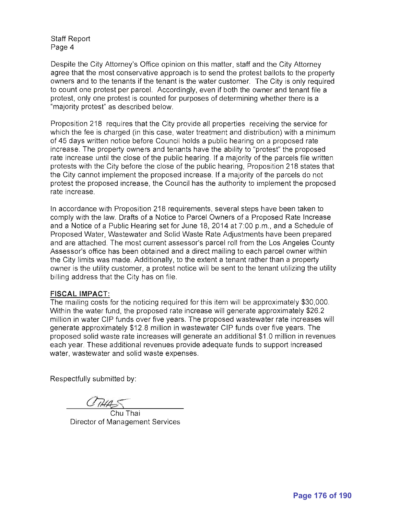Staff Report Page 4

Despite the City Attorney's Office opinion on this matter, staff and the City Attorney agree that the most conservative approach is to send the protest ballots to the property owners and to the tenants if the tenant is the water customer. The City is only required to count one protest per parcel. Accordingly, even if both the owner and tenant file a protest, only one protest is counted for purposes of determining whether there is a "majority protest" as described below.

Proposition 218 requires that the City provide all properties receiving the service for which the fee is charged (in this case, water treatment and distribution) with a minimum of 45 days written notice before Council holds a public hearing on a proposed rate increase. The property owners and tenants have the ability to "protest" the proposed rate increase until the close of the public hearing. If a majority of the parcels file written protests with the City before the close of the public hearing, Proposition 218 states that the City cannot implement the proposed increase. If a majority of the parcels do not protest the proposed increase, the Council has the authority to implement the proposed rate increase.

In accordance with Proposition 218 requirements, several steps have been taken to comply with the law. Drafts of a Notice to Parcel Owners of a Proposed Rate Increase and a Notice of a Public Hearing set for June 18, 2014 at 7:00 p.m., and a Schedule of Proposed Water, Wastewater and Solid Waste Rate Adjustments have been prepared and are attached. The most current assessor's parcel roll from the Los Angeles County Assessor's office has been obtained and a direct mailing to each parcel owner within the City limits was made. Additionally, to the extent a tenant rather than a property owner is the utility customer, a protest notice will be sent to the tenant utilizing the utility billing address that the City has on file.

#### **FISCAL IMPACT:**

The mailing costs for the noticing required for this item will be approximately \$30,000. Within the water fund, the proposed rate increase will generate approximately \$26.2 million in water CIP funds over five years. The proposed wastewater rate increases will generate approximately \$12.8 million in wastewater CIP funds over five years. The proposed solid waste rate increases will generate an additional \$1 .0 million in revenues each year. These additional revenues provide adequate funds to support increased water, wastewater and solid waste expenses.

Respectfully submitted by:

Chu Thai Director of Management Services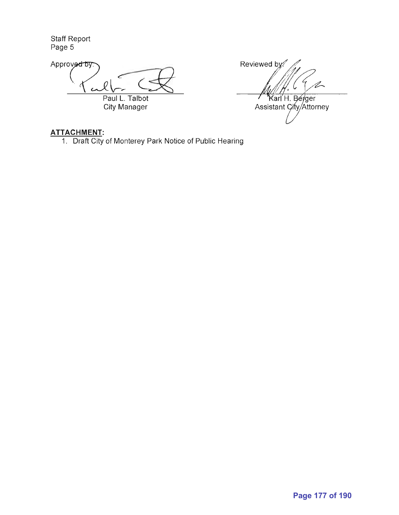Staff Report Page 5

Staff Report<br>Page 5<br>Approve<del>d by</del> Paul L. Talbot City Manager

Reviewed by: '/~. Karl H. Berger Assistant City/Attorney

## **ATTACHMENT:**

1. Draft City of Monterey Park Notice of Public Hearing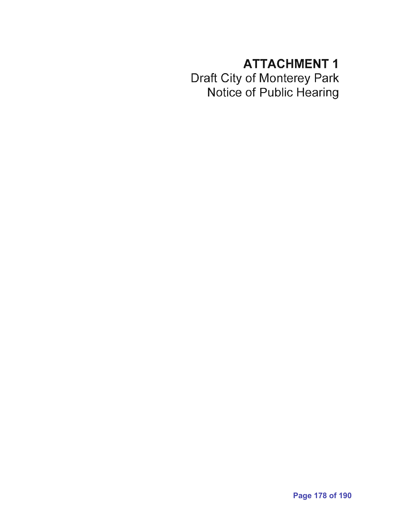# **ATTACHMENT 1**

Draft City of Monterey Park Notice of Public Hearing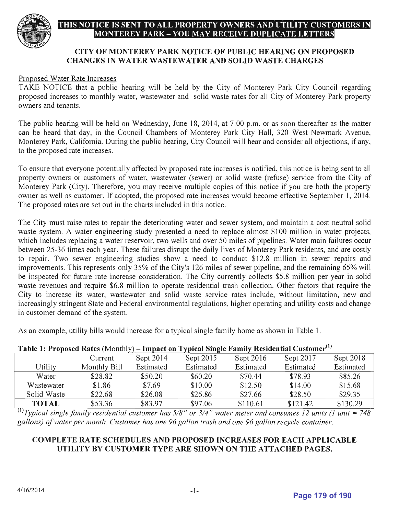

# THIS NOTICE IS SENT TO ALL PROPERTY OWNERS AND UTILITY CUSTOMERS IN MONTEREY PARK – YOU MAY RECEIVE DUPLICATE LETTERS

## CITY OF MONTEREY PARK NOTICE OF PUBLIC HEARING ON PROPOSED CHANGES IN WATER WASTEWATER AND SOLID WASTE CHARGES

### Proposed Water Rate Increases

TAKE NOTICE that a public hearing will be held by the City of Monterey Park City Council regarding proposed increases to monthly water, wastewater and solid waste rates for all City of Monterey Park property owners and tenants.

The public hearing will be held on Wednesday, June 18, 2014, at 7:00 p.m. or as soon thereafter as the matter can be heard that day, in the Council Chambers of Monterey Park City Hall, 320 West Newmark Avenue, Monterey Park, California. During the public hearing, City Council will hear and consider all objections, if any, to the proposed rate increases.

To ensure that everyone potentially affected by proposed rate increases is notified, this notice is being sent to all property owners or customers of water, wastewater (sewer) or solid waste (refuse) service from the City of Monterey Park (City). Therefore, you may receive multiple copies of this notice if you are both the property owner as well as customer. If adopted, the proposed rate increases would become effective September 1, 2014. The proposed rates are set out in the charts included in this notice.

The City must raise rates to repair the deteriorating water and sewer system, and maintain a cost neutral solid waste system. A water engineering study presented a need to replace almost \$100 million in water projects, which includes replacing a water reservoir, two wells and over 50 miles of pipelines. Water main failures occur between 25-36 times each year. These failures disrupt the daily lives of Monterey Park residents, and are costly to repair. Two sewer engineering studies show a need to conduct \$12.8 million in sewer repairs and improvements. This represents only 35% of the City's 126 miles of sewer pipeline, and the remaining 65% will be inspected for future rate increase consideration. The City currently collects \$5.8 million per year in solid waste revenues and require \$6.8 million to operate residential trash collection. Other factors that require the City to increase its water, wastewater and solid waste service rates include, without limitation, new and increasingly stringent State and Federal environmental regulations, higher operating and utility costs and change in customer demand of the system.

As an example, utility bills would increase for a typical single family home as shown in Table 1.

| Table 1: Proposed Rates (Monthly) – Impact on Typical Single Family Residential Customer''' |              |           |           |           |           |           |  |  |  |  |
|---------------------------------------------------------------------------------------------|--------------|-----------|-----------|-----------|-----------|-----------|--|--|--|--|
|                                                                                             | Current      | Sept 2014 | Sept 2015 | Sept 2016 | Sept 2017 | Sept 2018 |  |  |  |  |
| Utility                                                                                     | Monthly Bill | Estimated | Estimated | Estimated | Estimated | Estimated |  |  |  |  |
| Water                                                                                       | \$28.82      | \$50.20   | \$60.20   | \$70.44   | \$78.93   | \$85.26   |  |  |  |  |
| Wastewater                                                                                  | \$1.86       | \$7.69    | \$10.00   | \$12.50   | \$14.00   | \$15.68   |  |  |  |  |
| Solid Waste                                                                                 | \$22.68      | \$26.08   | \$26.86   | \$27.66   | \$28.50   | \$29.35   |  |  |  |  |
| <b>TOTAL</b><br>$\sqrt{11}$                                                                 | \$53.36      | \$83.97   | \$97.06   | \$110.61  | \$121.42  | \$130.29  |  |  |  |  |

# **Table 1: Proposed Rates** (Monthly) – Impact on Typical Single Family Residential Customer<sup>(1)</sup>

 $^{(1)}$ Typical single family residential customer has  $5/8$ " or  $3/4$ " water meter and consumes 12 *units (1 unit* = 748 *gallons) of water per month. Customer has one* 96 *gallon trash and one* 96 *gallon recycle container.* 

## COMPLETE RATE SCHEDULES AND PROPOSED INCREASES FOR EACH APPLICABLE UTILITY BY CUSTOMER TYPE ARE SHOWN ON THE ATTACHED PAGES,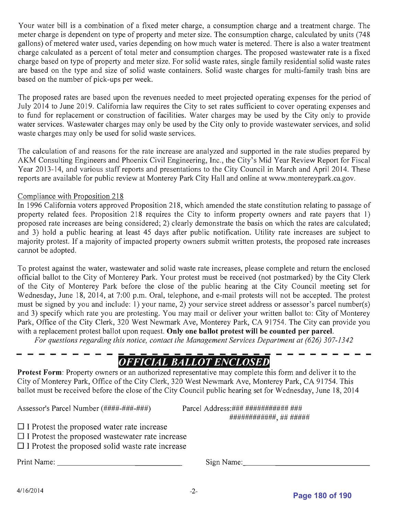Your water bill is a combination of a fixed meter charge, a consumption charge and a treatment charge. The meter charge is dependent on type of property and meter size. The consumption charge, calculated by units (748 gallons) of metered water used, varies depending on how much water is metered. There is also a water treatment charge calculated as a percent of total meter and consumption charges. The proposed wastewater rate is a fixed charge based on type of property and meter size. For solid waste rates, single family residential solid waste rates are based on the type and size of solid waste containers. Solid waste charges for multi-family trash bins are based on the number of pick-ups per week.

The proposed rates are based upon the revenues needed to meet projected operating expenses for the period of July 2014 to June 2019. California law requires the City to set rates sufficient to cover operating expenses and to fund for replacement or construction of facilities. Water charges may be used by the City only to provide water services. Wastewater charges may only be used by the City only to provide wastewater services, and solid waste charges may only be used for solid waste services.

The calculation of and reasons for the rate increase are analyzed and supported in the rate studies prepared by AKM Consulting Engineers and Phoenix Civil Engineering, Inc., the City's Mid Year Review Report for Fiscal Year 2013-14, and various staff reports and presentations to the City Council in March and April 2014. These reports are available for public review at Monterey Park City Hall and online at www.montereypark.ca.gov.

## Compliance with Proposition 218

In 1996 California voters approved Proposition 218, which amended the state constitution relating to passage of property related fees. Proposition 218 requires the City to inform property owners and rate payers that 1) proposed rate increases are being considered; 2) clearly demonstrate the basis on which the rates are calculated; and 3) hold a public hearing at least 45 days after public notification. Utility rate increases are subject to majority protest. If a majority of impacted property owners submit written protests, the proposed rate increases cannot be adopted.

To protest against the water, wastewater and solid waste rate increases, please complete and return the enclosed official ballot to the City of Monterey Park. Your protest must be received (not postmarked) by the City Clerk of the City of Monterey Park before the close of the public hearing at the City Council meeting set for Wednesday, June 18,2014, at 7:00 p.m. Oral, telephone, and e-mail protests will not be accepted. The protest must be signed by you and include: 1) your name, 2) your service street address or assessor's parcel number(s) and 3) specify which rate you are protesting. You may mail or deliver your written ballot to: City of Monterey Park, Office of the City Clerk, 320 West Newmark Ave, Monterey Park, CA 91754. The City can provide you with a replacement protest ballot upon request. **Only one ballot protest will be counted per parcel.** 

*For questions regarding this notice, contact the Management Services Department at (626) 307-1342* 

# *OFFICIAL BALLOT ENCLOSED*

**Protest Form:** Property owners or an authorized representative may complete this form and deliver it to the City of Monterey Park, Office of the City Clerk, 320 West Newmark Ave, Monterey Park, CA 91754. This ballot must be received before the close of the City Council public hearing set for Wednesday, June 18,2014

Assessor's Parcel Number (####-###-###)

Parcel Address:### ############ ### ############, ## #####

|     |  | $\Box$ I Protest the proposed water rate increase |  |  |
|-----|--|---------------------------------------------------|--|--|
| ___ |  |                                                   |  |  |

- $\Box$  I Protest the proposed wastewater rate increase
- $\Box$  I Protest the proposed solid waste rate increase

Print Name: \_\_\_\_\_\_\_\_\_\_\_\_\_\_ \_ Sign Name: \_\_\_\_\_\_\_\_\_\_\_\_\_\_ \_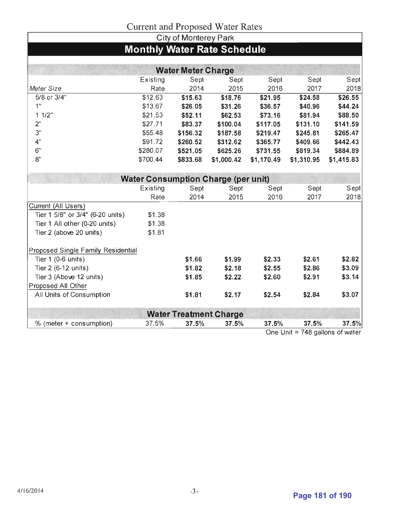# Current and Proposed Water Rates

|                                    |                                            | City of Monterey Park     | Carlotte and I roposed water ixates |            |                                        |            |
|------------------------------------|--------------------------------------------|---------------------------|-------------------------------------|------------|----------------------------------------|------------|
|                                    | <b>Monthly Water Rate Schedule</b>         |                           |                                     |            |                                        |            |
|                                    |                                            |                           |                                     |            |                                        |            |
|                                    |                                            |                           |                                     |            |                                        |            |
|                                    |                                            | <b>Water Meter Charge</b> |                                     |            |                                        |            |
|                                    | Existing                                   | Sept                      | Sept                                | Sept       | Sept                                   | Sept       |
| Meter Size                         | Rate                                       | 2014                      | 2015                                | 2016       | 2017                                   | 2018       |
| 5/8 or 3/4"                        | \$12.63                                    | \$15.63                   | \$18.76                             | \$21.95    | \$24.58                                | \$26.55    |
| 1 <sup>11</sup>                    | \$13.67                                    | \$26.05                   | \$31.26                             | \$36.57    | \$40.96                                | \$44.24    |
| 11/2"                              | \$21.53                                    | \$52.11                   | \$62.53                             | \$73.16    | \$81.94                                | \$88.50    |
| 2"                                 | \$27.71                                    | \$83.37                   | \$100.04                            | \$117.05   | \$131.10                               | \$141.59   |
| 3"                                 | \$55.48                                    | \$156.32                  | \$187.58                            | \$219.47   | \$245.81                               | \$265.47   |
| 4 <sup>n</sup>                     | \$91.72                                    | \$260.52                  | \$312.62                            | \$365.77   | \$409.66                               | \$442.43   |
| 6"                                 | \$280.07                                   | \$521.05                  | \$625.26                            | \$731.55   | \$819.34                               | \$884.89   |
| 8"                                 | \$700.44                                   | \$833.68                  | \$1,000.42                          | \$1,170.49 | \$1,310.95                             | \$1,415.83 |
|                                    | <b>Water Consumption Charge (per unit)</b> |                           |                                     |            |                                        |            |
|                                    | Existing                                   | Sept                      | Sept                                | Sept       | Sept                                   | Sept       |
|                                    | Rate                                       | 2014                      | 2015                                | 2016       | 2017                                   | 2018       |
| Current (All Users)                |                                            |                           |                                     |            |                                        |            |
| Tier 1 5/8" or 3/4" (6-20 units)   | \$1.38                                     |                           |                                     |            |                                        |            |
| Tier 1 All other (0-20 units)      | \$1.38                                     |                           |                                     |            |                                        |            |
| Tier 2 (above 20 units)            | \$1.81                                     |                           |                                     |            |                                        |            |
| Proposed Single Family Residential |                                            |                           |                                     |            |                                        |            |
| Tier 1 (0-6 units)                 |                                            | \$1.66                    | \$1.99                              | \$2.33     | \$2.61                                 | \$2.82     |
| Tier 2 (6-12 units)                |                                            | \$1.82                    | \$2.18                              | \$2.55     | \$2.86                                 | \$3.09     |
| Tier 3 (Above 12 units)            |                                            | \$1.85                    | \$2.22                              | \$2.60     | \$2.91                                 | \$3.14     |
| Proposed All Other                 |                                            |                           |                                     |            |                                        |            |
| All Units of Consumption           |                                            | \$1.81                    | \$2.17                              | \$2.54     | \$2.84                                 | \$3.07     |
|                                    |                                            |                           |                                     |            |                                        |            |
|                                    |                                            |                           | <b>Water Treatment Charge</b>       |            |                                        |            |
| % (meter + consumption)            | 37.5%                                      | 37.5%                     | 37.5%                               | 37.5%      | 37.5%<br>$\overline{ }$ $\overline{ }$ | 37.5%      |

One Unit = 748 gallons of water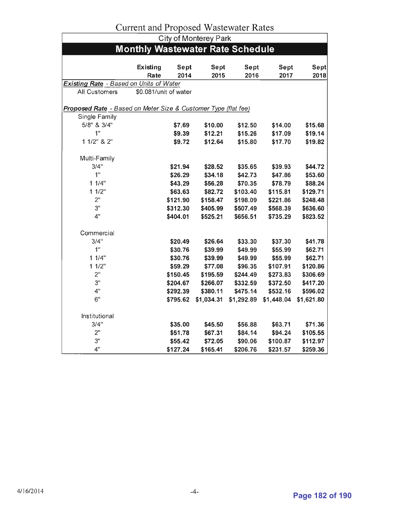| Current and Froposcu Wasicwater Kates                          |                       |          |            |            |            |            |  |  |  |
|----------------------------------------------------------------|-----------------------|----------|------------|------------|------------|------------|--|--|--|
| <b>City of Monterey Park</b>                                   |                       |          |            |            |            |            |  |  |  |
| <b>Monthly Wastewater Rate Schedule</b>                        |                       |          |            |            |            |            |  |  |  |
|                                                                |                       |          |            |            |            |            |  |  |  |
|                                                                | Existing              | Sept     | Sept       | Sept       | Sept       | Sept       |  |  |  |
|                                                                | Rate                  | 2014     | 2015       | 2016       | 2017       | 2018       |  |  |  |
| <b>Existing Rate</b> - Based on Units of Water                 |                       |          |            |            |            |            |  |  |  |
| All Customers                                                  | \$0.081/unit of water |          |            |            |            |            |  |  |  |
| Proposed Rate - Based on Meter Size & Customer Type (flat fee) |                       |          |            |            |            |            |  |  |  |
| Single Family                                                  |                       |          |            |            |            |            |  |  |  |
| 5/8" & 3/4"                                                    |                       | \$7.69   | \$10.00    | \$12.50    | \$14.00    | \$15.68    |  |  |  |
| 1 <sup>11</sup>                                                |                       | \$9.39   | \$12.21    | \$15.26    | \$17.09    | \$19.14    |  |  |  |
| 1 1/2" & 2"                                                    |                       | \$9.72   | \$12.64    | \$15.80    | \$17.70    | \$19.82    |  |  |  |
|                                                                |                       |          |            |            |            |            |  |  |  |
| Multi-Family                                                   |                       |          |            |            |            |            |  |  |  |
| 3/4"                                                           |                       | \$21.94  | \$28.52    | \$35.65    | \$39.93    | \$44.72    |  |  |  |
| 1 <sup>0</sup>                                                 |                       | \$26.29  | \$34.18    | \$42.73    | \$47.86    | \$53.60    |  |  |  |
| 11/4"                                                          |                       | \$43.29  | \$56.28    | \$70.35    | \$78.79    | \$88.24    |  |  |  |
| 11/2"                                                          |                       | \$63.63  | \$82.72    | \$103.40   | \$115.81   | \$129.71   |  |  |  |
| 2"                                                             |                       | \$121.90 | \$158.47   | \$198.09   | \$221.86   | \$248.48   |  |  |  |
| 3"                                                             |                       | \$312.30 | \$405.99   | \$507.49   | \$568.39   | \$636.60   |  |  |  |
| 4"                                                             |                       | \$404.01 | \$525.21   | \$656.51   | \$735.29   | \$823.52   |  |  |  |
|                                                                |                       |          |            |            |            |            |  |  |  |
| Commercial                                                     |                       |          |            |            |            |            |  |  |  |
| 3/4"                                                           |                       | \$20.49  | \$26.64    | \$33.30    | \$37.30    | \$41.78    |  |  |  |
| 1 <sup>0</sup>                                                 |                       | \$30.76  | \$39.99    | \$49.99    | \$55.99    | \$62.71    |  |  |  |
| 11/4"                                                          |                       | \$30.76  | \$39.99    | \$49.99    | \$55.99    | \$62.71    |  |  |  |
| 11/2"                                                          |                       | \$59.29  | \$77.08    | \$96.35    | \$107.91   | \$120.86   |  |  |  |
| 2"                                                             |                       | \$150.45 | \$195.59   | \$244.49   | \$273.83   | \$306.69   |  |  |  |
| 3"                                                             |                       | \$204.67 | \$266.07   | \$332.59   | \$372.50   | \$417.20   |  |  |  |
| 4"                                                             |                       | \$292.39 | \$380.11   | \$475.14   | \$532.16   | \$596.02   |  |  |  |
| 6"                                                             |                       | \$795.62 | \$1,034.31 | \$1,292.89 | \$1,448.04 | \$1,621.80 |  |  |  |
|                                                                |                       |          |            |            |            |            |  |  |  |
| Institutional                                                  |                       |          |            |            |            |            |  |  |  |
| 3/4"                                                           |                       | \$35.00  | \$45.50    | \$56.88    | \$63.71    | \$71.36    |  |  |  |
| 2"                                                             |                       | \$51.78  | \$67.31    | \$84.14    | \$94.24    | \$105.55   |  |  |  |
| 3"                                                             |                       | \$55.42  | \$72.05    | \$90.06    | \$100.87   | \$112.97   |  |  |  |
| 4"                                                             |                       | \$127.24 | \$165.41   | \$206.76   | \$231.57   | \$259.36   |  |  |  |

# Current and Proposed Wastewater Rates